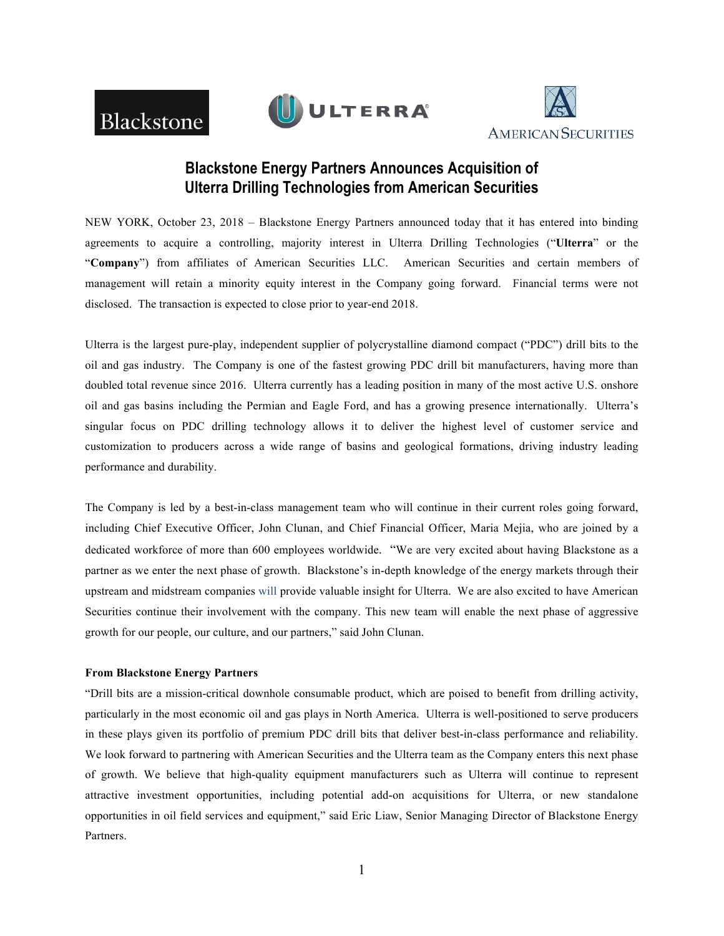





# **Blackstone Energy Partners Announces Acquisition of Ulterra Drilling Technologies from American Securities**

NEW YORK, October 23, 2018 – Blackstone Energy Partners announced today that it has entered into binding agreements to acquire a controlling, majority interest in Ulterra Drilling Technologies ("**Ulterra**" or the "**Company**") from affiliates of American Securities LLC. American Securities and certain members of management will retain a minority equity interest in the Company going forward. Financial terms were not disclosed. The transaction is expected to close prior to year-end 2018.

Ulterra is the largest pure-play, independent supplier of polycrystalline diamond compact ("PDC") drill bits to the oil and gas industry. The Company is one of the fastest growing PDC drill bit manufacturers, having more than doubled total revenue since 2016. Ulterra currently has a leading position in many of the most active U.S. onshore oil and gas basins including the Permian and Eagle Ford, and has a growing presence internationally. Ulterra's singular focus on PDC drilling technology allows it to deliver the highest level of customer service and customization to producers across a wide range of basins and geological formations, driving industry leading performance and durability.

The Company is led by a best-in-class management team who will continue in their current roles going forward, including Chief Executive Officer, John Clunan, and Chief Financial Officer, Maria Mejia, who are joined by a dedicated workforce of more than 600 employees worldwide. "We are very excited about having Blackstone as a partner as we enter the next phase of growth. Blackstone's in-depth knowledge of the energy markets through their upstream and midstream companies will provide valuable insight for Ulterra. We are also excited to have American Securities continue their involvement with the company. This new team will enable the next phase of aggressive growth for our people, our culture, and our partners," said John Clunan.

## **From Blackstone Energy Partners**

"Drill bits are a mission-critical downhole consumable product, which are poised to benefit from drilling activity, particularly in the most economic oil and gas plays in North America. Ulterra is well-positioned to serve producers in these plays given its portfolio of premium PDC drill bits that deliver best-in-class performance and reliability. We look forward to partnering with American Securities and the Ulterra team as the Company enters this next phase of growth. We believe that high-quality equipment manufacturers such as Ulterra will continue to represent attractive investment opportunities, including potential add-on acquisitions for Ulterra, or new standalone opportunities in oil field services and equipment," said Eric Liaw, Senior Managing Director of Blackstone Energy Partners.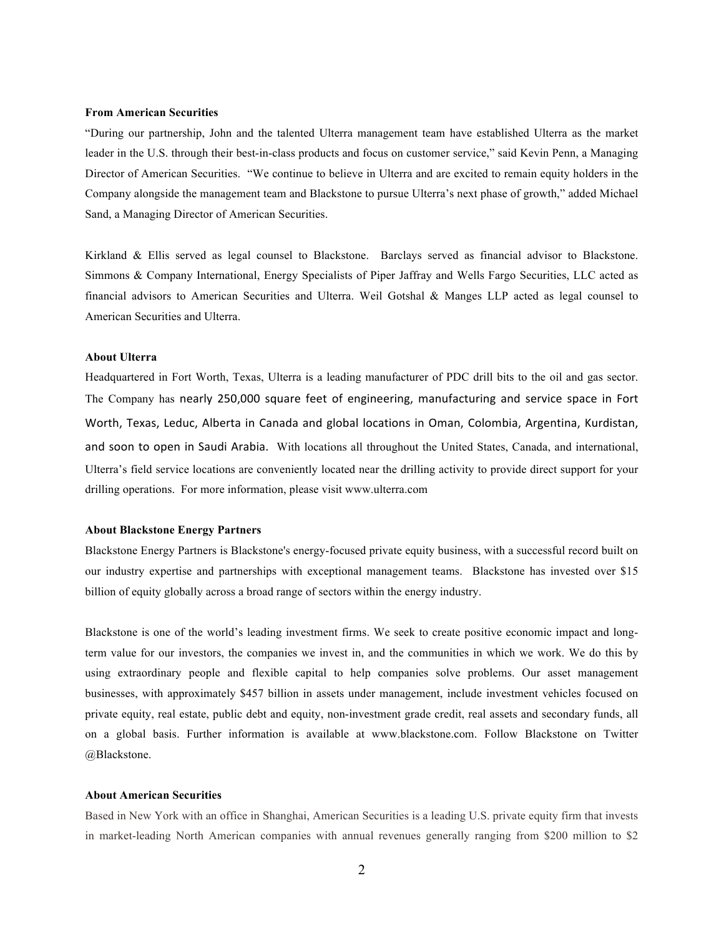#### **From American Securities**

"During our partnership, John and the talented Ulterra management team have established Ulterra as the market leader in the U.S. through their best-in-class products and focus on customer service," said Kevin Penn, a Managing Director of American Securities. "We continue to believe in Ulterra and are excited to remain equity holders in the Company alongside the management team and Blackstone to pursue Ulterra's next phase of growth," added Michael Sand, a Managing Director of American Securities.

Kirkland & Ellis served as legal counsel to Blackstone. Barclays served as financial advisor to Blackstone. Simmons & Company International, Energy Specialists of Piper Jaffray and Wells Fargo Securities, LLC acted as financial advisors to American Securities and Ulterra. Weil Gotshal & Manges LLP acted as legal counsel to American Securities and Ulterra.

## **About Ulterra**

Headquartered in Fort Worth, Texas, Ulterra is a leading manufacturer of PDC drill bits to the oil and gas sector. The Company has nearly 250,000 square feet of engineering, manufacturing and service space in Fort Worth, Texas, Leduc, Alberta in Canada and global locations in Oman, Colombia, Argentina, Kurdistan, and soon to open in Saudi Arabia. With locations all throughout the United States, Canada, and international, Ulterra's field service locations are conveniently located near the drilling activity to provide direct support for your drilling operations. For more information, please visit www.ulterra.com

### **About Blackstone Energy Partners**

Blackstone Energy Partners is Blackstone's energy-focused private equity business, with a successful record built on our industry expertise and partnerships with exceptional management teams. Blackstone has invested over \$15 billion of equity globally across a broad range of sectors within the energy industry.

Blackstone is one of the world's leading investment firms. We seek to create positive economic impact and longterm value for our investors, the companies we invest in, and the communities in which we work. We do this by using extraordinary people and flexible capital to help companies solve problems. Our asset management businesses, with approximately \$457 billion in assets under management, include investment vehicles focused on private equity, real estate, public debt and equity, non-investment grade credit, real assets and secondary funds, all on a global basis. Further information is available at www.blackstone.com. Follow Blackstone on Twitter @Blackstone.

#### **About American Securities**

Based in New York with an office in Shanghai, American Securities is a leading U.S. private equity firm that invests in market-leading North American companies with annual revenues generally ranging from \$200 million to \$2